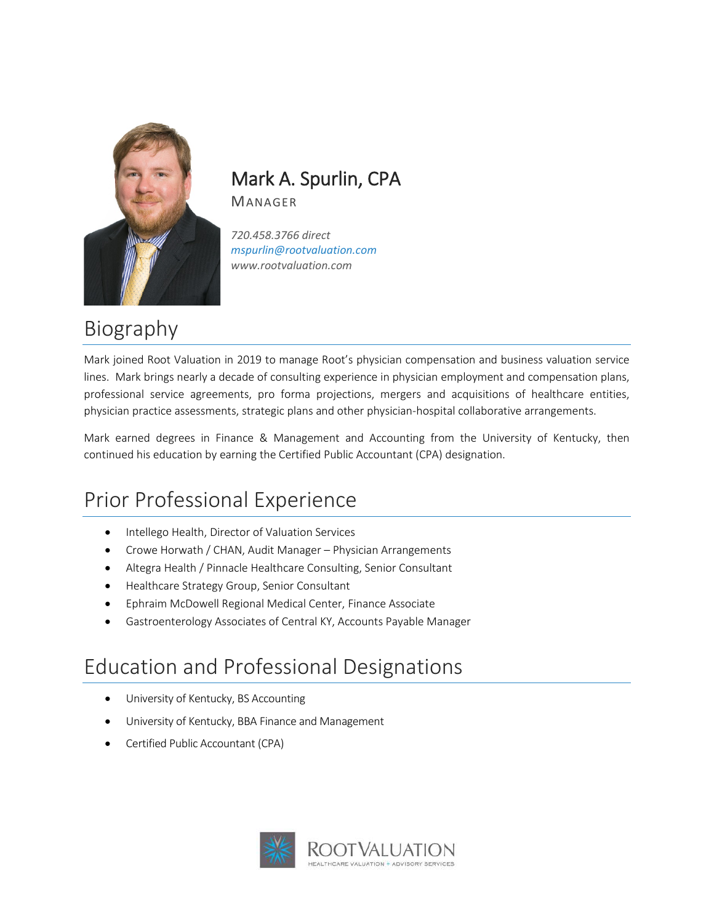

#### Mark A. Spurlin, CPA MANAGER

*720.458.3766 direct mspurlin@rootvaluation.com www.rootvaluation.com*

## Biography

Mark joined Root Valuation in 2019 to manage Root's physician compensation and business valuation service lines. Mark brings nearly a decade of consulting experience in physician employment and compensation plans, professional service agreements, pro forma projections, mergers and acquisitions of healthcare entities, physician practice assessments, strategic plans and other physician-hospital collaborative arrangements.

Mark earned degrees in Finance & Management and Accounting from the University of Kentucky, then continued his education by earning the Certified Public Accountant (CPA) designation.

## Prior Professional Experience

- Intellego Health, Director of Valuation Services
- Crowe Horwath / CHAN, Audit Manager Physician Arrangements
- Altegra Health / Pinnacle Healthcare Consulting, Senior Consultant
- Healthcare Strategy Group, Senior Consultant
- Ephraim McDowell Regional Medical Center, Finance Associate
- Gastroenterology Associates of Central KY, Accounts Payable Manager

### Education and Professional Designations

- University of Kentucky, BS Accounting
- University of Kentucky, BBA Finance and Management
- Certified Public Accountant (CPA)